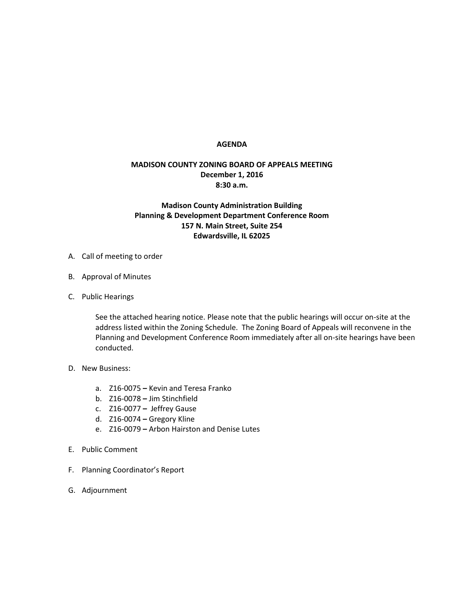## **AGENDA**

## **MADISON COUNTY ZONING BOARD OF APPEALS MEETING December 1, 2016 8:30 a.m.**

## **Madison County Administration Building Planning & Development Department Conference Room 157 N. Main Street, Suite 254 Edwardsville, IL 62025**

- A. Call of meeting to order
- B. Approval of Minutes
- C. Public Hearings

See the attached hearing notice. Please note that the public hearings will occur on-site at the address listed within the Zoning Schedule. The Zoning Board of Appeals will reconvene in the Planning and Development Conference Room immediately after all on-site hearings have been conducted.

- D. New Business:
	- a. Z16-0075 **–** Kevin and Teresa Franko
	- b. Z16-0078 **–** Jim Stinchfield
	- c. Z16-0077 **–** Jeffrey Gause
	- d. Z16-0074 **–** Gregory Kline
	- e. Z16-0079 **–** Arbon Hairston and Denise Lutes
- E. Public Comment
- F. Planning Coordinator's Report
- G. Adjournment